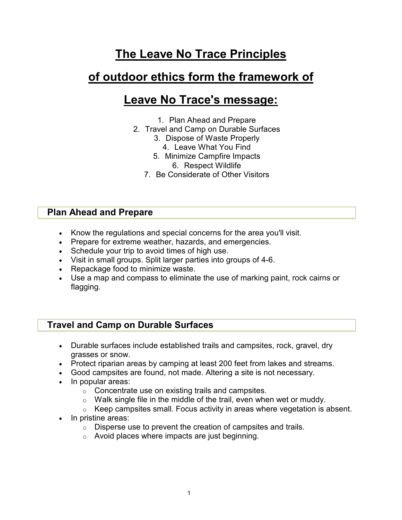# The Leave No Trace Principles

## of outdoor ethics form the framework of

## Leave No Trace's message:

- 1. Plan Ahead and Prepare
- 2. Travel and Camp on Durable Surfaces
	- 3. Dispose of Waste Properly
		- 4. Leave What You Find
	- 5. Minimize Campfire Impacts
		- 6. Respect Wildlife
	- 7. Be Considerate of Other Visitors

## Plan Ahead and Prepare

- Know the regulations and special concerns for the area you'll visit.
- Prepare for extreme weather, hazards, and emergencies.
- Schedule your trip to avoid times of high use.
- Visit in small groups. Split larger parties into groups of 4-6.
- Repackage food to minimize waste.
- Use a map and compass to eliminate the use of marking paint, rock cairns or flagging.

## Travel and Camp on Durable Surfaces

- Durable surfaces include established trails and campsites, rock, gravel, dry grasses or snow.
- Protect riparian areas by camping at least 200 feet from lakes and streams.
- Good campsites are found, not made. Altering a site is not necessary.
- In popular areas:
	- o Concentrate use on existing trails and campsites.
	- $\circ$  Walk single file in the middle of the trail, even when wet or muddy.
	- $\circ$  Keep campsites small. Focus activity in areas where vegetation is absent.
- In pristine areas:
	- o Disperse use to prevent the creation of campsites and trails.
	- o Avoid places where impacts are just beginning.